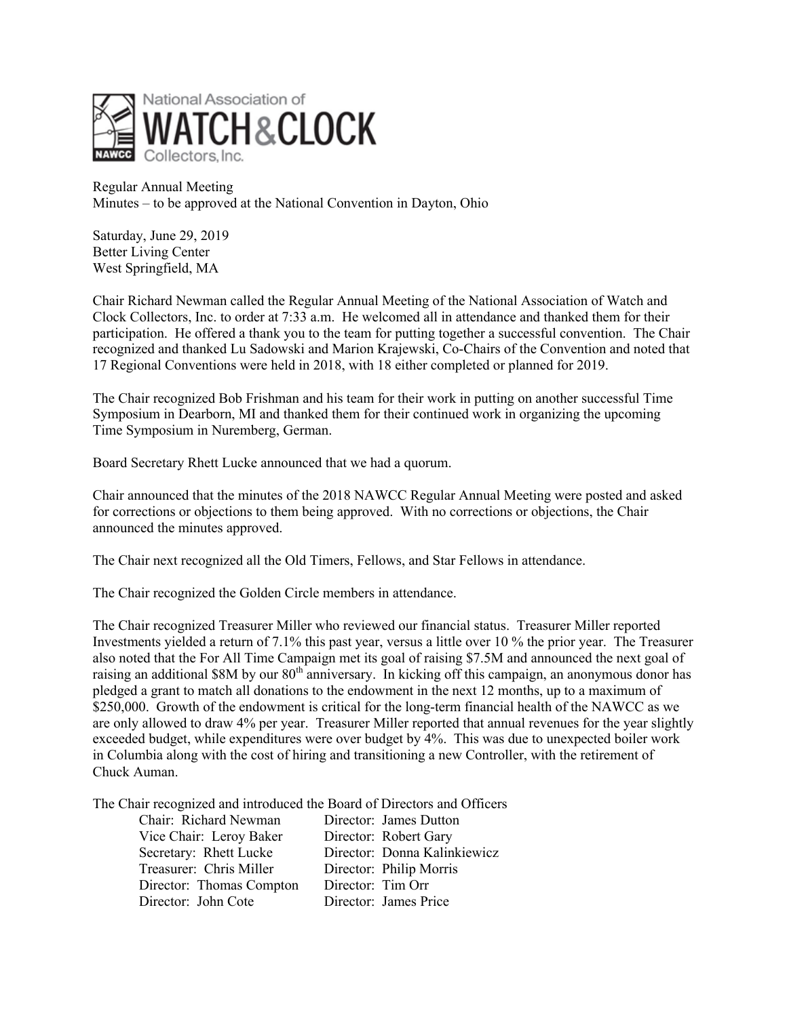

Regular Annual Meeting Minutes – to be approved at the National Convention in Dayton, Ohio

Saturday, June 29, 2019 Better Living Center West Springfield, MA

Chair Richard Newman called the Regular Annual Meeting of the National Association of Watch and Clock Collectors, Inc. to order at 7:33 a.m. He welcomed all in attendance and thanked them for their participation. He offered a thank you to the team for putting together a successful convention. The Chair recognized and thanked Lu Sadowski and Marion Krajewski, Co-Chairs of the Convention and noted that 17 Regional Conventions were held in 2018, with 18 either completed or planned for 2019.

The Chair recognized Bob Frishman and his team for their work in putting on another successful Time Symposium in Dearborn, MI and thanked them for their continued work in organizing the upcoming Time Symposium in Nuremberg, German.

Board Secretary Rhett Lucke announced that we had a quorum.

Chair announced that the minutes of the 2018 NAWCC Regular Annual Meeting were posted and asked for corrections or objections to them being approved. With no corrections or objections, the Chair announced the minutes approved.

The Chair next recognized all the Old Timers, Fellows, and Star Fellows in attendance.

The Chair recognized the Golden Circle members in attendance.

The Chair recognized Treasurer Miller who reviewed our financial status. Treasurer Miller reported Investments yielded a return of 7.1% this past year, versus a little over 10 % the prior year. The Treasurer also noted that the For All Time Campaign met its goal of raising \$7.5M and announced the next goal of raising an additional \$8M by our 80<sup>th</sup> anniversary. In kicking off this campaign, an anonymous donor has pledged a grant to match all donations to the endowment in the next 12 months, up to a maximum of \$250,000. Growth of the endowment is critical for the long-term financial health of the NAWCC as we are only allowed to draw 4% per year. Treasurer Miller reported that annual revenues for the year slightly exceeded budget, while expenditures were over budget by 4%. This was due to unexpected boiler work in Columbia along with the cost of hiring and transitioning a new Controller, with the retirement of Chuck Auman.

The Chair recognized and introduced the Board of Directors and Officers

| Chair: Richard Newman    | Director: James Dutton       |
|--------------------------|------------------------------|
| Vice Chair: Leroy Baker  | Director: Robert Gary        |
| Secretary: Rhett Lucke   | Director: Donna Kalinkiewicz |
| Treasurer: Chris Miller  | Director: Philip Morris      |
| Director: Thomas Compton | Director: Tim Orr            |
| Director: John Cote      | Director: James Price        |